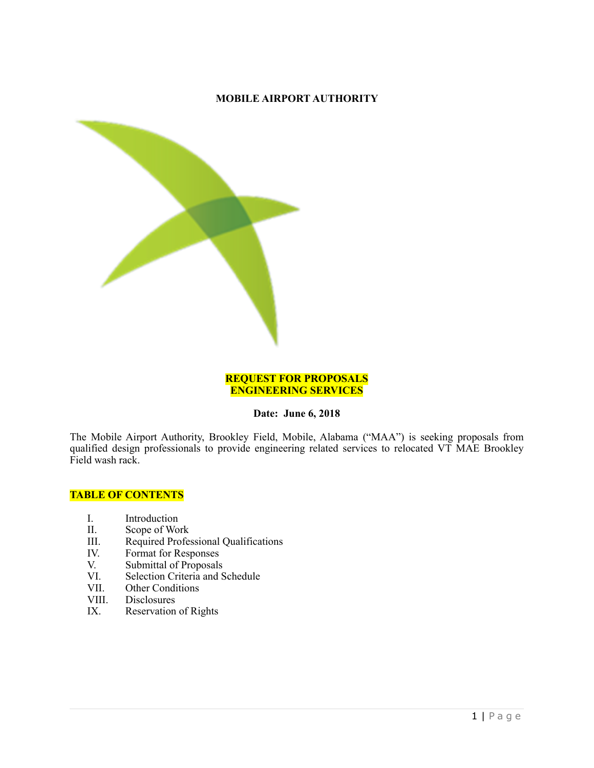## **MOBILE AIRPORT AUTHORITY**



#### **REQUEST FOR PROPOSALS ENGINEERING SERVICES**

#### **Date: June 6, 2018**

The Mobile Airport Authority, Brookley Field, Mobile, Alabama ("MAA") is seeking proposals from qualified design professionals to provide engineering related services to relocated VT MAE Brookley Field wash rack.

#### **TABLE OF CONTENTS**

- I. Introduction<br>II. Scope of Wo
- II. Scope of Work<br>III. Required Profes
- III. Required Professional Qualifications<br>IV. Format for Responses
- IV. Format for Responses<br>V. Submittal of Proposals
- V. Submittal of Proposals<br>VI. Selection Criteria and S
- VI. Selection Criteria and Schedule<br>VII. Other Conditions
- VII. Other Conditions<br>VIII. Disclosures
- VIII. Disclosures<br>IX. Reservation
- Reservation of Rights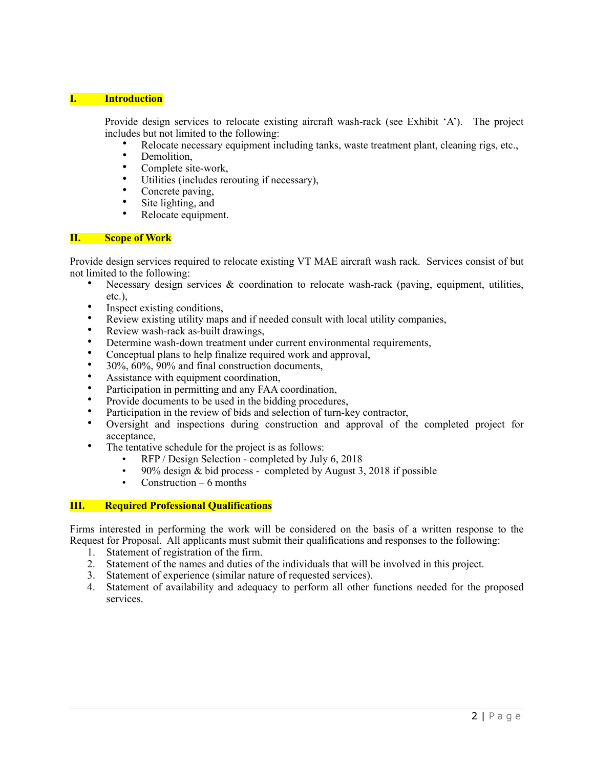#### **I. Introduction**

Provide design services to relocate existing aircraft wash-rack (see Exhibit 'A'). The project includes but not limited to the following:

- Relocate necessary equipment including tanks, waste treatment plant, cleaning rigs, etc.,
- Demolition,<br>• Complete sit
- Complete site-work,<br>• Utilities (includes rep
- Utilities (includes rerouting if necessary),<br>• Concrete naving
- Concrete paving,<br>• Site lighting and
- Site lighting, and
- Relocate equipment.

#### **II. Scope of Work**

Provide design services required to relocate existing VT MAE aircraft wash rack. Services consist of but not limited to the following:

- Necessary design services & coordination to relocate wash-rack (paving, equipment, utilities, etc.),
- Inspect existing conditions,
- Review existing utility maps and if needed consult with local utility companies,
- Review wash-rack as-built drawings,
- Determine wash-down treatment under current environmental requirements,
- Conceptual plans to help finalize required work and approval,
- 30%, 60%, 90% and final construction documents,
- Assistance with equipment coordination,
- Participation in permitting and any FAA coordination,
- Provide documents to be used in the bidding procedures,
- Participation in the review of bids and selection of turn-key contractor.
- Oversight and inspections during construction and approval of the completed project for acceptance,
- The tentative schedule for the project is as follows:
	- RFP / Design Selection completed by July 6, 2018
	- 90% design & bid process completed by August 3, 2018 if possible<br>• Construction 6 months
	- Construction  $-6$  months

#### **III. Required Professional Qualifications**

Firms interested in performing the work will be considered on the basis of a written response to the Request for Proposal. All applicants must submit their qualifications and responses to the following:

- 1. Statement of registration of the firm.
- 2. Statement of the names and duties of the individuals that will be involved in this project.
- 3. Statement of experience (similar nature of requested services).
- 4. Statement of availability and adequacy to perform all other functions needed for the proposed services.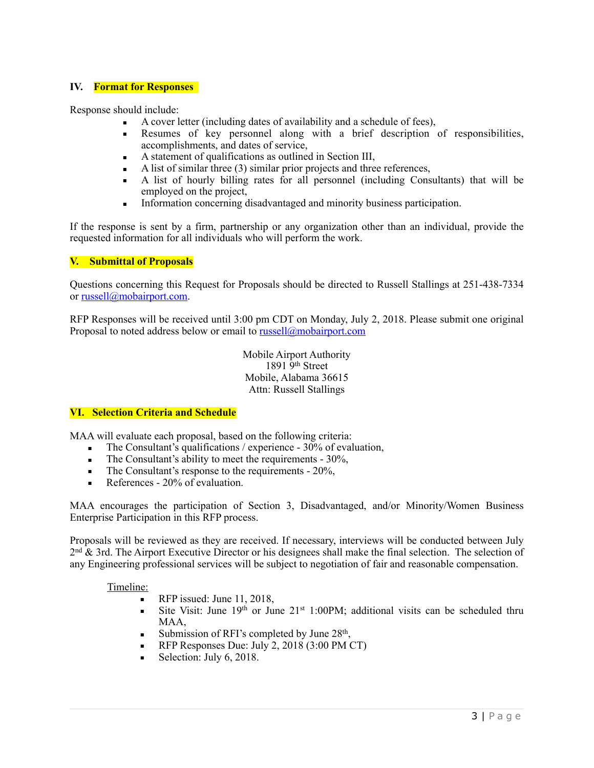#### **IV. Format for Responses**

Response should include:

- A cover letter (including dates of availability and a schedule of fees),
- **Example 3** Resumes of key personnel along with a brief description of responsibilities, accomplishments, and dates of service,
- A statement of qualifications as outlined in Section III,
- $\blacksquare$  A list of similar three (3) similar prior projects and three references,
- A list of hourly billing rates for all personnel (including Consultants) that will be employed on the project,
- **Information concerning disadvantaged and minority business participation.**

If the response is sent by a firm, partnership or any organization other than an individual, provide the requested information for all individuals who will perform the work.

## **V. Submittal of Proposals**

Questions concerning this Request for Proposals should be directed to Russell Stallings at 251-438-7334 or [russell@mobairport.com](mailto:russell@mobairport.com).

RFP Responses will be received until 3:00 pm CDT on Monday, July 2, 2018. Please submit one original Proposal to noted address below or email to [russell@mobairport.com](mailto:russell@mobairport.com)

> Mobile Airport Authority 1891 9th Street Mobile, Alabama 36615 Attn: Russell Stallings

#### **VI. Selection Criteria and Schedule**

MAA will evaluate each proposal, based on the following criteria:

- $\blacksquare$  The Consultant's qualifications / experience 30% of evaluation,
- The Consultant's ability to meet the requirements 30%,
- The Consultant's response to the requirements 20%,
- $\blacksquare$  References 20% of evaluation.

MAA encourages the participation of Section 3, Disadvantaged, and/or Minority/Women Business Enterprise Participation in this RFP process.

Proposals will be reviewed as they are received. If necessary, interviews will be conducted between July 2<sup>nd</sup> & 3rd. The Airport Executive Director or his designees shall make the final selection. The selection of any Engineering professional services will be subject to negotiation of fair and reasonable compensation.

#### Timeline:

- RFP issued: June 11, 2018,
- **EXECUTE:** Site Visit: June 19<sup>th</sup> or June  $21^{st}$  1:00PM; additional visits can be scheduled thru MAA,
- Submission of RFI's completed by June  $28<sup>th</sup>$ ,
- RFP Responses Due: July 2, 2018 (3:00 PM CT)
- Selection: July 6, 2018.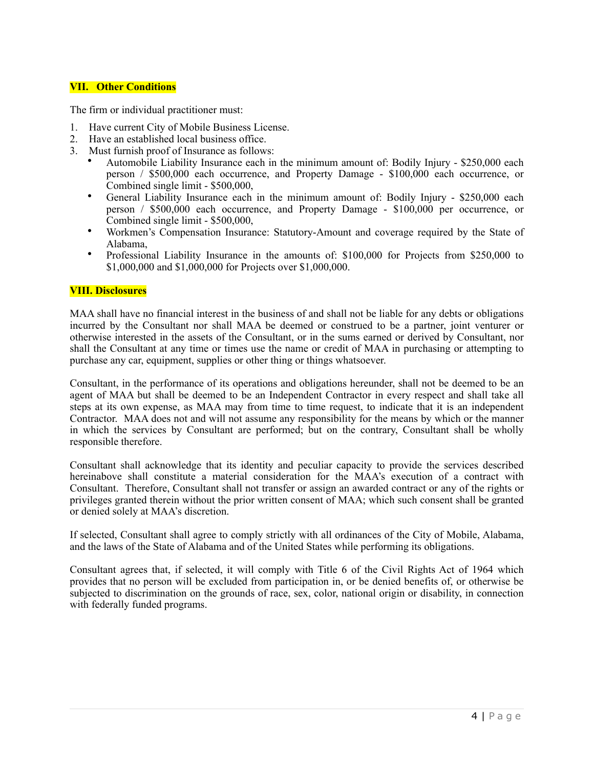#### **VII. Other Conditions**

The firm or individual practitioner must:

- 1. Have current City of Mobile Business License.
- 2. Have an established local business office.
- 3. Must furnish proof of Insurance as follows:
	- Automobile Liability Insurance each in the minimum amount of: Bodily Injury \$250,000 each person / \$500,000 each occurrence, and Property Damage - \$100,000 each occurrence, or Combined single limit - \$500,000,
	- General Liability Insurance each in the minimum amount of: Bodily Injury \$250,000 each person / \$500,000 each occurrence, and Property Damage - \$100,000 per occurrence, or Combined single limit - \$500,000,
	- Workmen's Compensation Insurance: Statutory-Amount and coverage required by the State of Alabama,
	- Professional Liability Insurance in the amounts of: \$100,000 for Projects from \$250,000 to \$1,000,000 and \$1,000,000 for Projects over \$1,000,000.

#### **VIII. Disclosures**

MAA shall have no financial interest in the business of and shall not be liable for any debts or obligations incurred by the Consultant nor shall MAA be deemed or construed to be a partner, joint venturer or otherwise interested in the assets of the Consultant, or in the sums earned or derived by Consultant, nor shall the Consultant at any time or times use the name or credit of MAA in purchasing or attempting to purchase any car, equipment, supplies or other thing or things whatsoever.

Consultant, in the performance of its operations and obligations hereunder, shall not be deemed to be an agent of MAA but shall be deemed to be an Independent Contractor in every respect and shall take all steps at its own expense, as MAA may from time to time request, to indicate that it is an independent Contractor. MAA does not and will not assume any responsibility for the means by which or the manner in which the services by Consultant are performed; but on the contrary, Consultant shall be wholly responsible therefore.

Consultant shall acknowledge that its identity and peculiar capacity to provide the services described hereinabove shall constitute a material consideration for the MAA's execution of a contract with Consultant. Therefore, Consultant shall not transfer or assign an awarded contract or any of the rights or privileges granted therein without the prior written consent of MAA; which such consent shall be granted or denied solely at MAA's discretion.

If selected, Consultant shall agree to comply strictly with all ordinances of the City of Mobile, Alabama, and the laws of the State of Alabama and of the United States while performing its obligations.

Consultant agrees that, if selected, it will comply with Title 6 of the Civil Rights Act of 1964 which provides that no person will be excluded from participation in, or be denied benefits of, or otherwise be subjected to discrimination on the grounds of race, sex, color, national origin or disability, in connection with federally funded programs.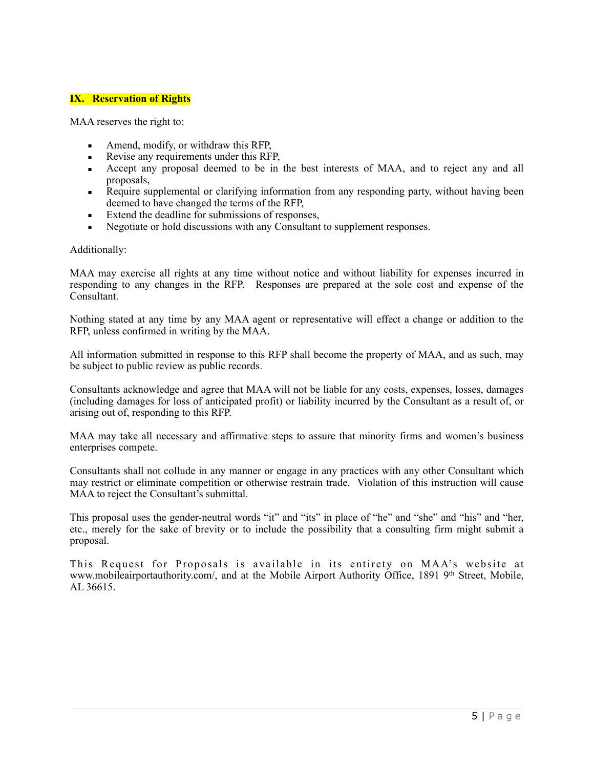### **IX. Reservation of Rights**

MAA reserves the right to:

- **•** Amend, modify, or withdraw this RFP,
- **Revise any requirements under this RFP.**
- Accept any proposal deemed to be in the best interests of MAA, and to reject any and all proposals,
- Require supplemental or clarifying information from any responding party, without having been deemed to have changed the terms of the RFP,
- Extend the deadline for submissions of responses,
- Negotiate or hold discussions with any Consultant to supplement responses.

Additionally:

MAA may exercise all rights at any time without notice and without liability for expenses incurred in responding to any changes in the RFP. Responses are prepared at the sole cost and expense of the Consultant.

Nothing stated at any time by any MAA agent or representative will effect a change or addition to the RFP, unless confirmed in writing by the MAA.

All information submitted in response to this RFP shall become the property of MAA, and as such, may be subject to public review as public records.

Consultants acknowledge and agree that MAA will not be liable for any costs, expenses, losses, damages (including damages for loss of anticipated profit) or liability incurred by the Consultant as a result of, or arising out of, responding to this RFP.

MAA may take all necessary and affirmative steps to assure that minority firms and women's business enterprises compete.

Consultants shall not collude in any manner or engage in any practices with any other Consultant which may restrict or eliminate competition or otherwise restrain trade. Violation of this instruction will cause MAA to reject the Consultant's submittal.

This proposal uses the gender-neutral words "it" and "its" in place of "he" and "she" and "his" and "her, etc., merely for the sake of brevity or to include the possibility that a consulting firm might submit a proposal.

This Request for Proposals is available in its entirety on MAA's website at www.mobileairportauthority.com/, and at the Mobile Airport Authority Office, 1891 9th Street, Mobile, AL 36615.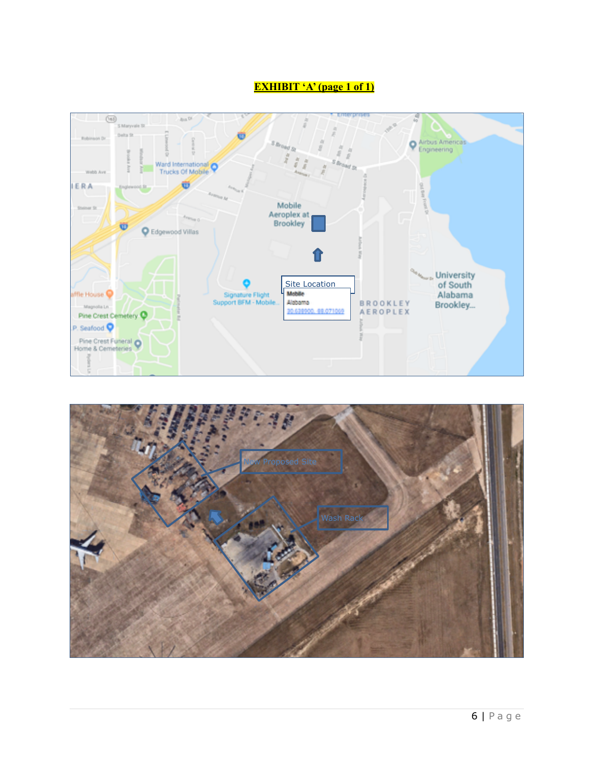# **EXHIBIT 'A' (page 1 of 1)**



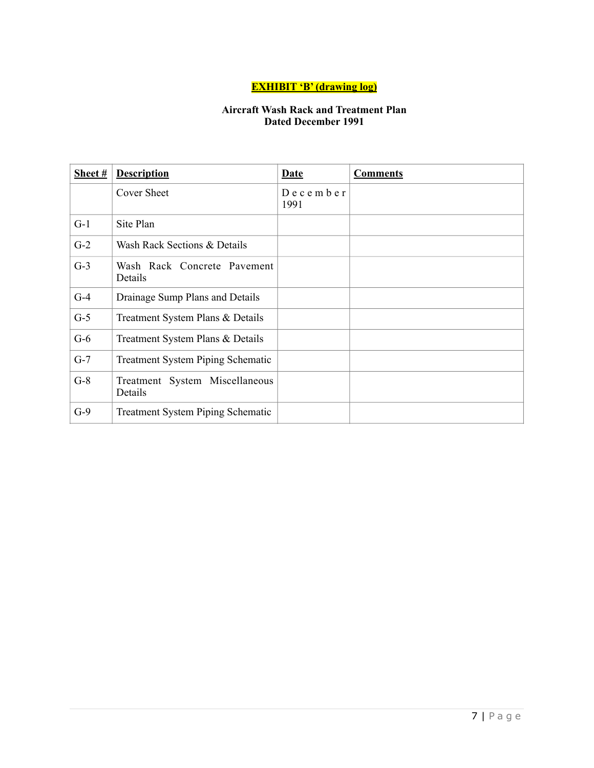# **EXHIBIT 'B' (drawing log)**

# **Aircraft Wash Rack and Treatment Plan Dated December 1991**

| Sheet $#$ | <b>Description</b>                        | <b>Date</b>               | <b>Comments</b> |
|-----------|-------------------------------------------|---------------------------|-----------------|
|           | Cover Sheet                               | $D$ e c e m b e r<br>1991 |                 |
| $G-1$     | Site Plan                                 |                           |                 |
| $G-2$     | Wash Rack Sections & Details              |                           |                 |
| $G-3$     | Wash Rack Concrete Pavement<br>Details    |                           |                 |
| $G-4$     | Drainage Sump Plans and Details           |                           |                 |
| $G-5$     | Treatment System Plans & Details          |                           |                 |
| $G-6$     | Treatment System Plans & Details          |                           |                 |
| $G-7$     | <b>Treatment System Piping Schematic</b>  |                           |                 |
| $G-8$     | Treatment System Miscellaneous<br>Details |                           |                 |
| $G-9$     | <b>Treatment System Piping Schematic</b>  |                           |                 |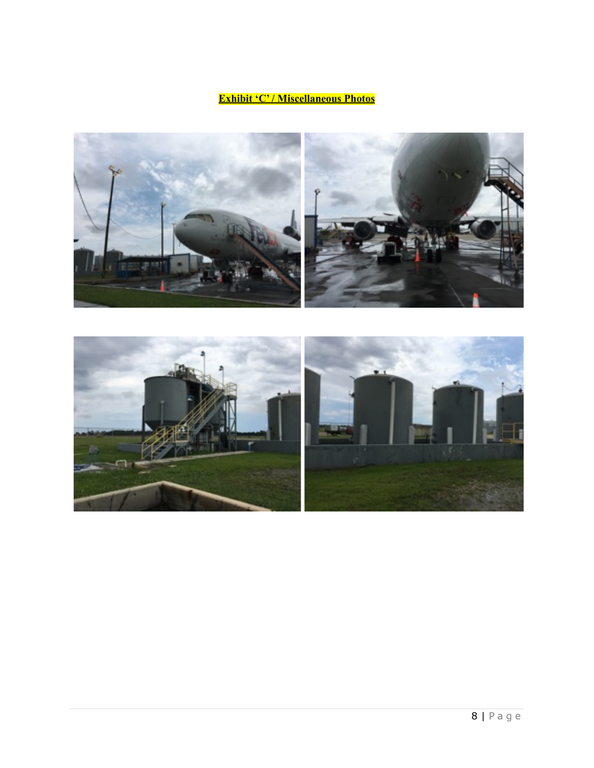# **Exhibit 'C' / Miscellaneous Photos**